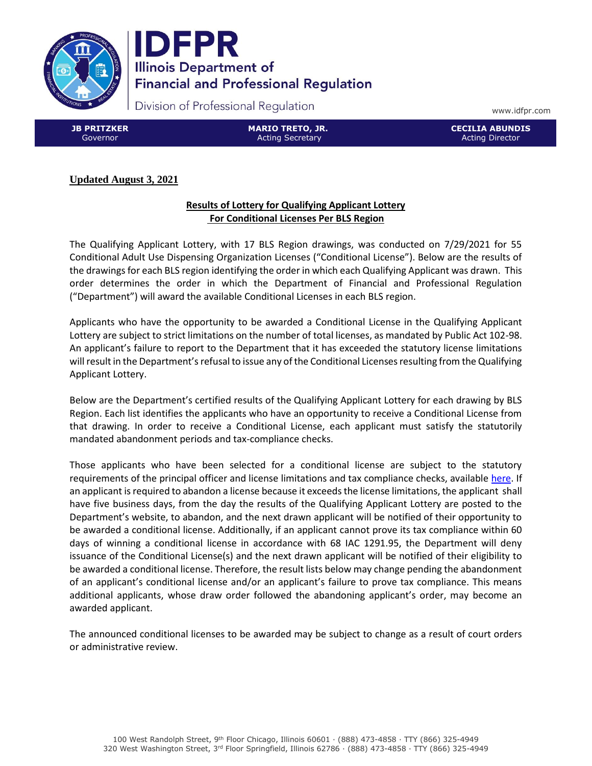



Division of Professional Regulation

www.idfpr.com

**JB PRITZKER** Governor

**MARIO TRETO, JR.** Acting Secretary

**CECILIA ABUNDIS** Acting Director

# **Updated August 3, 2021**

## **Results of Lottery for Qualifying Applicant Lottery For Conditional Licenses Per BLS Region**

The Qualifying Applicant Lottery, with 17 BLS Region drawings, was conducted on 7/29/2021 for 55 Conditional Adult Use Dispensing Organization Licenses ("Conditional License"). Below are the results of the drawings for each BLS region identifying the order in which each Qualifying Applicant was drawn. This order determines the order in which the Department of Financial and Professional Regulation ("Department") will award the available Conditional Licenses in each BLS region.

Applicants who have the opportunity to be awarded a Conditional License in the Qualifying Applicant Lottery are subject to strict limitations on the number of total licenses, as mandated by Public Act 102-98. An applicant's failure to report to the Department that it has exceeded the statutory license limitations will result in the Department's refusal to issue any of the Conditional Licenses resulting from the Qualifying Applicant Lottery.

Below are the Department's certified results of the Qualifying Applicant Lottery for each drawing by BLS Region. Each list identifies the applicants who have an opportunity to receive a Conditional License from that drawing. In order to receive a Conditional License, each applicant must satisfy the statutorily mandated abandonment periods and tax-compliance checks.

Those applicants who have been selected for a conditional license are subject to the statutory requirements of the principal officer and license limitations and tax compliance checks, available [here.](https://www.idfpr.com/Forms/AUC/FAQs%20for%20QAL%20SEJIL%20and%20TAL.pdf) If an applicant is required to abandon a license because it exceeds the license limitations, the applicant shall have five business days, from the day the results of the Qualifying Applicant Lottery are posted to the Department's website, to abandon, and the next drawn applicant will be notified of their opportunity to be awarded a conditional license. Additionally, if an applicant cannot prove its tax compliance within 60 days of winning a conditional license in accordance with 68 IAC 1291.95, the Department will deny issuance of the Conditional License(s) and the next drawn applicant will be notified of their eligibility to be awarded a conditional license. Therefore, the result lists below may change pending the abandonment of an applicant's conditional license and/or an applicant's failure to prove tax compliance. This means additional applicants, whose draw order followed the abandoning applicant's order, may become an awarded applicant.

The announced conditional licenses to be awarded may be subject to change as a result of court orders or administrative review.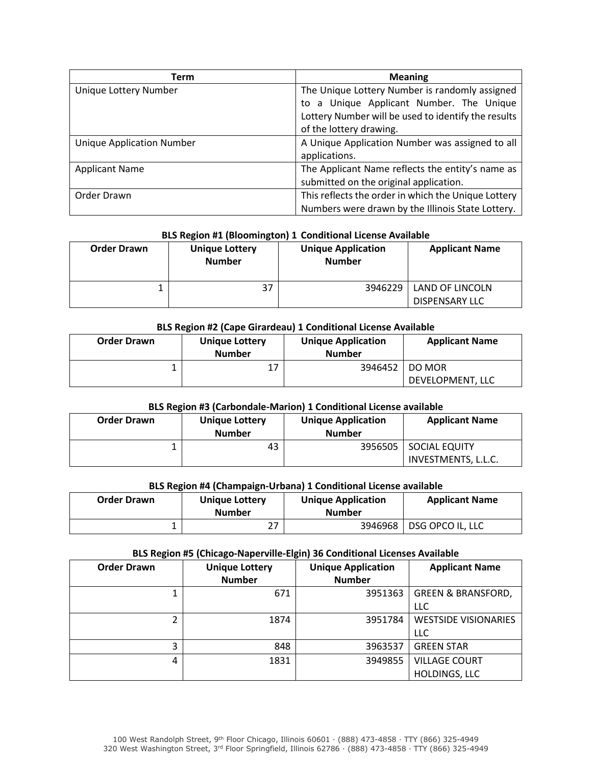| Term                             | <b>Meaning</b>                                      |  |  |
|----------------------------------|-----------------------------------------------------|--|--|
| Unique Lottery Number            | The Unique Lottery Number is randomly assigned      |  |  |
|                                  | a Unique Applicant Number. The Unique<br>to         |  |  |
|                                  | Lottery Number will be used to identify the results |  |  |
|                                  | of the lottery drawing.                             |  |  |
| <b>Unique Application Number</b> | A Unique Application Number was assigned to all     |  |  |
|                                  | applications.                                       |  |  |
| <b>Applicant Name</b>            | The Applicant Name reflects the entity's name as    |  |  |
|                                  | submitted on the original application.              |  |  |
| Order Drawn                      | This reflects the order in which the Unique Lottery |  |  |
|                                  | Numbers were drawn by the Illinois State Lottery.   |  |  |

### **BLS Region #1 (Bloomington) 1 Conditional License Available**

| <b>Order Drawn</b> | <b>Unique Lottery</b><br><b>Number</b> | <b>Unique Application</b><br><b>Number</b> | <b>Applicant Name</b>                    |
|--------------------|----------------------------------------|--------------------------------------------|------------------------------------------|
|                    | 37                                     | 3946229                                    | LAND OF LINCOLN<br><b>DISPENSARY LLC</b> |

### **BLS Region #2 (Cape Girardeau) 1 Conditional License Available**

| <b>Order Drawn</b> | Unique Lottery<br><b>Number</b> | <b>Unique Application</b><br><b>Number</b> | <b>Applicant Name</b>        |
|--------------------|---------------------------------|--------------------------------------------|------------------------------|
|                    | 17                              | 3946452                                    | I DO MOR<br>DEVELOPMENT, LLC |

### **BLS Region #3 (Carbondale-Marion) 1 Conditional License available**

| <b>Order Drawn</b> | <b>Unique Lottery</b><br><b>Number</b> | <b>Unique Application</b><br><b>Number</b> | <b>Applicant Name</b>                  |
|--------------------|----------------------------------------|--------------------------------------------|----------------------------------------|
|                    | 43                                     | 3956505                                    | I SOCIAL EQUITY<br>INVESTMENTS, L.L.C. |

## **BLS Region #4 (Champaign-Urbana) 1 Conditional License available**

| <b>Order Drawn</b> | <b>Unique Lottery</b><br>Number | <b>Unique Application</b><br><b>Number</b> | <b>Applicant Name</b> |
|--------------------|---------------------------------|--------------------------------------------|-----------------------|
|                    | 27                              | 3946968                                    | DSG OPCO IL, LLC      |

#### **BLS Region #5 (Chicago-Naperville-Elgin) 36 Conditional Licenses Available**

| <b>Order Drawn</b> | <b>Unique Lottery</b><br><b>Number</b> | <b>Unique Application</b><br><b>Number</b> | <b>Applicant Name</b>         |
|--------------------|----------------------------------------|--------------------------------------------|-------------------------------|
|                    |                                        |                                            |                               |
|                    | 671                                    | 3951363                                    | <b>GREEN &amp; BRANSFORD,</b> |
|                    |                                        |                                            | LLC                           |
|                    | 1874                                   | 3951784                                    | <b>WESTSIDE VISIONARIES</b>   |
|                    |                                        |                                            | LLC                           |
| 3                  | 848                                    | 3963537                                    | <b>GREEN STAR</b>             |
| 4                  | 1831                                   | 3949855                                    | <b>VILLAGE COURT</b>          |
|                    |                                        |                                            | HOLDINGS, LLC                 |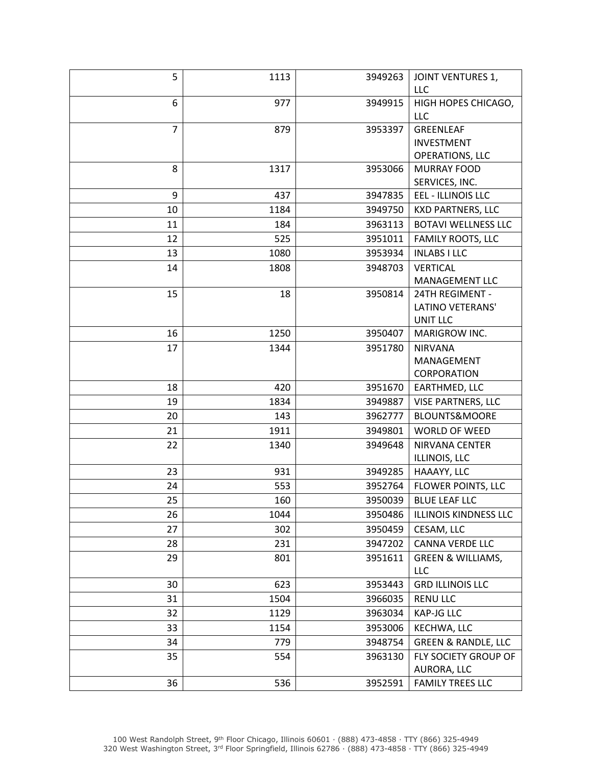| 5              | 1113 | 3949263 | <b>JOINT VENTURES 1,</b>                    |
|----------------|------|---------|---------------------------------------------|
|                |      |         | <b>LLC</b>                                  |
| 6              | 977  | 3949915 | HIGH HOPES CHICAGO,                         |
|                |      |         | <b>LLC</b>                                  |
| $\overline{7}$ | 879  | 3953397 | GREENLEAF                                   |
|                |      |         | <b>INVESTMENT</b>                           |
|                |      |         | OPERATIONS, LLC                             |
| 8              | 1317 | 3953066 | <b>MURRAY FOOD</b>                          |
| 9              | 437  | 3947835 | SERVICES, INC.<br><b>EEL - ILLINOIS LLC</b> |
|                |      |         |                                             |
| 10             | 1184 | 3949750 | <b>KXD PARTNERS, LLC</b>                    |
| 11             | 184  | 3963113 | <b>BOTAVI WELLNESS LLC</b>                  |
| 12             | 525  | 3951011 | FAMILY ROOTS, LLC                           |
| 13             | 1080 | 3953934 | <b>INLABS I LLC</b>                         |
| 14             | 1808 | 3948703 | <b>VERTICAL</b>                             |
|                |      |         | MANAGEMENT LLC                              |
| 15             | 18   | 3950814 | 24TH REGIMENT -                             |
|                |      |         | LATINO VETERANS'<br><b>UNIT LLC</b>         |
| 16             | 1250 | 3950407 | MARIGROW INC.                               |
| 17             | 1344 | 3951780 | <b>NIRVANA</b>                              |
|                |      |         | MANAGEMENT                                  |
|                |      |         | CORPORATION                                 |
| 18             | 420  | 3951670 | EARTHMED, LLC                               |
| 19             | 1834 | 3949887 | VISE PARTNERS, LLC                          |
| 20             | 143  | 3962777 | <b>BLOUNTS&amp;MOORE</b>                    |
| 21             | 1911 | 3949801 | <b>WORLD OF WEED</b>                        |
| 22             | 1340 | 3949648 | NIRVANA CENTER                              |
|                |      |         | ILLINOIS, LLC                               |
| 23             | 931  | 3949285 | HAAAYY, LLC                                 |
| 24             | 553  | 3952764 | FLOWER POINTS, LLC                          |
| 25             | 160  | 3950039 | <b>BLUE LEAF LLC</b>                        |
| 26             | 1044 | 3950486 | <b>ILLINOIS KINDNESS LLC</b>                |
| 27             | 302  | 3950459 | CESAM, LLC                                  |
| 28             | 231  | 3947202 | <b>CANNA VERDE LLC</b>                      |
| 29             | 801  | 3951611 | <b>GREEN &amp; WILLIAMS,</b>                |
|                |      |         | LLC                                         |
| 30             | 623  | 3953443 | <b>GRD ILLINOIS LLC</b>                     |
| 31             | 1504 | 3966035 | <b>RENU LLC</b>                             |
| 32             | 1129 | 3963034 | KAP-JG LLC                                  |
| 33             | 1154 | 3953006 | KECHWA, LLC                                 |
| 34             | 779  | 3948754 | <b>GREEN &amp; RANDLE, LLC</b>              |
| 35             | 554  | 3963130 | FLY SOCIETY GROUP OF                        |
|                |      |         | AURORA, LLC                                 |
| 36             | 536  | 3952591 | <b>FAMILY TREES LLC</b>                     |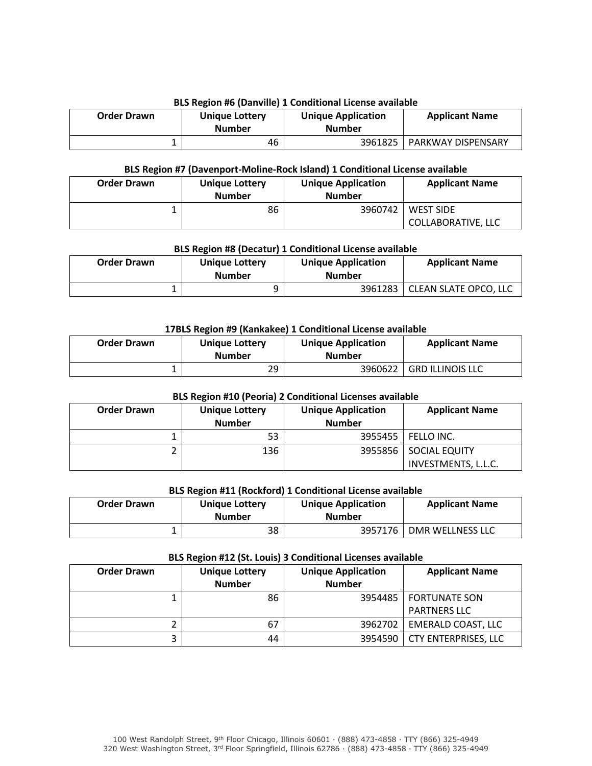## **BLS Region #6 (Danville) 1 Conditional License available**

| <b>Order Drawn</b> | <b>Unique Lottery</b><br><b>Number</b> | <b>Unique Application</b><br><b>Number</b> | <b>Applicant Name</b> |
|--------------------|----------------------------------------|--------------------------------------------|-----------------------|
|                    | 46                                     | 3961825                                    | PARKWAY DISPENSARY    |

#### **BLS Region #7 (Davenport-Moline-Rock Island) 1 Conditional License available**

| <b>Order Drawn</b> | <b>Unique Lottery</b><br><b>Number</b> | <b>Unique Application</b><br><b>Number</b> | <b>Applicant Name</b> |
|--------------------|----------------------------------------|--------------------------------------------|-----------------------|
|                    | 86                                     | 3960742                                    | <b>WEST SIDE</b>      |
|                    |                                        |                                            | COLLABORATIVE, LLC    |

## **BLS Region #8 (Decatur) 1 Conditional License available**

| <b>Order Drawn</b> | <b>Unique Lottery</b><br><b>Number</b> | <b>Unique Application</b><br><b>Number</b> | <b>Applicant Name</b>           |
|--------------------|----------------------------------------|--------------------------------------------|---------------------------------|
|                    |                                        |                                            | 3961283   CLEAN SLATE OPCO, LLC |

### **17BLS Region #9 (Kankakee) 1 Conditional License available**

| <b>Order Drawn</b> | <b>Unique Lottery</b><br><b>Number</b> | <b>Unique Application</b><br><b>Number</b> | <b>Applicant Name</b>   |
|--------------------|----------------------------------------|--------------------------------------------|-------------------------|
|                    | 29                                     | 3960622                                    | <b>GRD ILLINOIS LLC</b> |

### **BLS Region #10 (Peoria) 2 Conditional Licenses available**

| <b>Order Drawn</b> | <b>Unique Lottery</b><br><b>Number</b> | <b>Unique Application</b><br><b>Number</b> | <b>Applicant Name</b>                          |
|--------------------|----------------------------------------|--------------------------------------------|------------------------------------------------|
|                    | 53                                     |                                            | 3955455 FELLO INC.                             |
|                    | 136                                    |                                            | 3955856   SOCIAL EQUITY<br>INVESTMENTS, L.L.C. |

### **BLS Region #11 (Rockford) 1 Conditional License available**

| <b>Order Drawn</b> | <b>Unique Lottery</b><br><b>Number</b> | <b>Unique Application</b><br><b>Number</b> | <b>Applicant Name</b> |
|--------------------|----------------------------------------|--------------------------------------------|-----------------------|
|                    | 38                                     | 3957176 l                                  | DMR WELLNESS LLC      |

#### **BLS Region #12 (St. Louis) 3 Conditional Licenses available**

| <b>Order Drawn</b> | <b>Unique Lottery</b><br><b>Number</b> | <b>Unique Application</b><br><b>Number</b> | <b>Applicant Name</b>                          |
|--------------------|----------------------------------------|--------------------------------------------|------------------------------------------------|
|                    | 86                                     |                                            | 3954485   FORTUNATE SON<br><b>PARTNERS LLC</b> |
|                    | 67                                     | 3962702                                    | <b>EMERALD COAST, LLC</b>                      |
|                    | 44                                     | 3954590                                    | <b>CTY ENTERPRISES, LLC</b>                    |